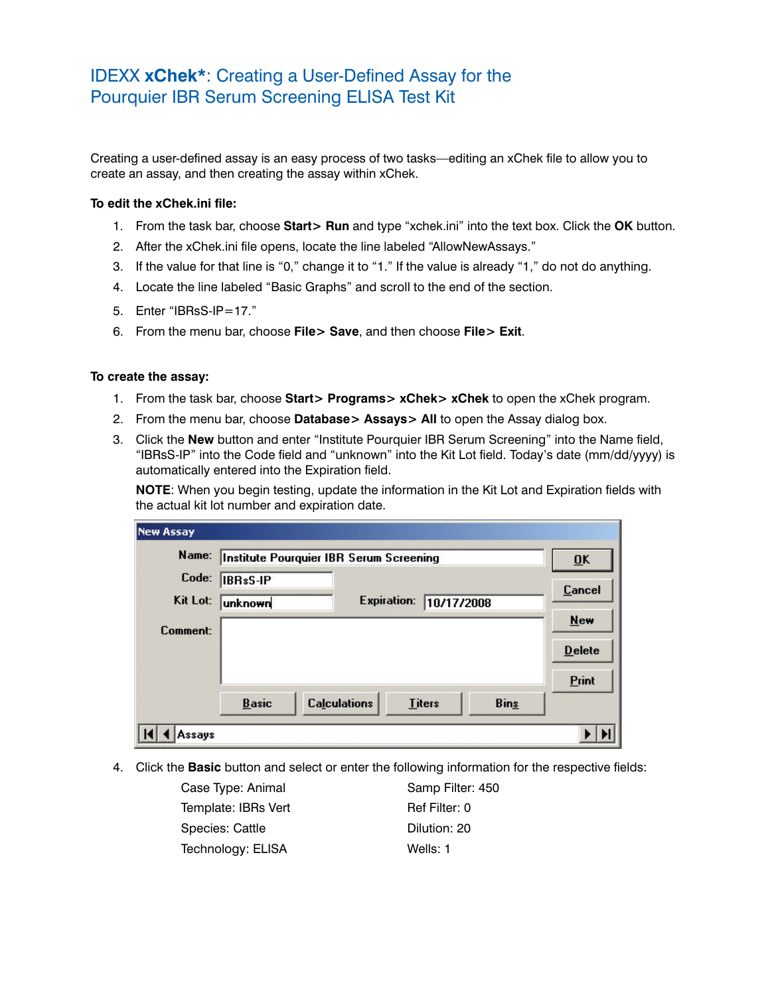## IDEXX **xChek\***: Creating a User-Defined Assay for the Pourquier IBR Serum Screening ELISA Test Kit

Creating a user-defined assay is an easy process of two tasks—editing an xChek file to allow you to create an assay, and then creating the assay within xChek.

## **To edit the xChek.ini file:**

- 1. From the task bar, choose **Start> Run** and type "xchek.ini" into the text box. Click the **OK** button.
- 2. After the xChek.ini file opens, locate the line labeled "AllowNewAssays."
- 3. If the value for that line is "0," change it to "1." If the value is already "1," do not do anything.
- 4. Locate the line labeled "Basic Graphs" and scroll to the end of the section.
- 5. Enter "IBRsS-IP=17."
- 6. From the menu bar, choose **File> Save**, and then choose **File> Exit**.

## **To create the assay:**

- 1. From the task bar, choose **Start> Programs> xChek> xChek** to open the xChek program.
- 2. From the menu bar, choose **Database> Assays> All** to open the Assay dialog box.
- 3. Click the **New** button and enter "Institute Pourquier IBR Serum Screening" into the Name field, "IBRsS-IP" into the Code field and "unknown" into the Kit Lot field. Today's date (mm/dd/yyyy) is automatically entered into the Expiration field.

**NOTE:** When you begin testing, update the information in the Kit Lot and Expiration fields with the actual kit lot number and expiration date.

|          |              | Name: Institute Pourquier IBR Serum Screening |                    |               |             | $\overline{\mathbf{U}}$ K |
|----------|--------------|-----------------------------------------------|--------------------|---------------|-------------|---------------------------|
| Code:    | IBRsS-IP     |                                               |                    |               |             | <b>Cancel</b>             |
| Kit Lot: | unknown      |                                               | <b>Expiration:</b> | 10/17/2008    |             |                           |
| Comment: |              |                                               |                    |               |             | <b>New</b>                |
|          |              |                                               |                    |               |             | <b>Delete</b>             |
|          |              |                                               |                    |               |             | Print                     |
|          | <b>Basic</b> | <b>Calculations</b>                           |                    | <b>Titers</b> | <b>Bins</b> |                           |

4. Click the **Basic** button and select or enter the following information for the respective fields:

| Case Type: Animal   | Samp Filter: 450 |
|---------------------|------------------|
| Template: IBRs Vert | Ref Filter: 0    |
| Species: Cattle     | Dilution: 20     |
| Technology: ELISA   | Wells: 1         |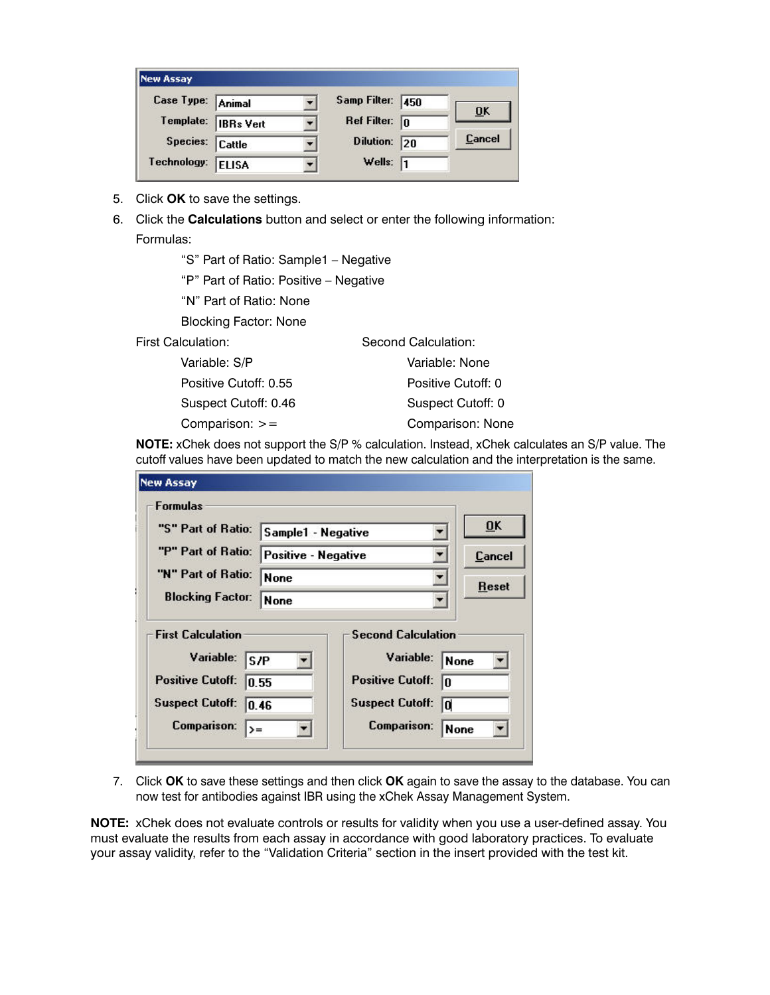| <b>New Assay</b>  |                     |                         |    |        |
|-------------------|---------------------|-------------------------|----|--------|
| Case Type: Animal |                     | Samp Filter: 450        |    |        |
|                   | Template: IBRs Vert | Ref Filter: $\boxed{0}$ |    | ŪΚ     |
| Species: Cattle   |                     | <b>Dilution:</b>        | 20 | Cancel |
| Technology:       | <b>ELISA</b>        | Wells:                  | 11 |        |

- 5. Click **OK** to save the settings.
- 6. Click the **Calculations** button and select or enter the following information: Formulas:

 "S" Part of Ratio: Sample1 – Negative "P" Part of Ratio: Positive – Negative "N" Part of Ratio: None Blocking Factor: None First Calculation: Second Calculation: Variable: S/P Variable: None Positive Cutoff: 0.55 Positive Cutoff: 0 Suspect Cutoff: 0.46 Suspect Cutoff: 0

Comparison: >= Comparison: None

**NOTE:** xChek does not support the S/P % calculation. Instead, xChek calculates an S/P value. The cutoff values have been updated to match the new calculation and the interpretation is the same.

| "S" Part of Ratio:       |                     |                           | $\overline{\mathbf{0}}$ K |
|--------------------------|---------------------|---------------------------|---------------------------|
|                          | Sample1 - Negative  |                           |                           |
| "P" Part of Ratio:       | Positive - Negative |                           | Cancel                    |
| "N" Part of Ratio:       | <b>None</b>         |                           | Reset                     |
| <b>Blocking Factor:</b>  | <b>None</b>         |                           |                           |
| <b>First Calculation</b> |                     | <b>Second Calculation</b> |                           |

7. Click **OK** to save these settings and then click **OK** again to save the assay to the database. You can now test for antibodies against IBR using the xChek Assay Management System.

**NOTE:** xChek does not evaluate controls or results for validity when you use a user-defined assay. You must evaluate the results from each assay in accordance with good laboratory practices. To evaluate your assay validity, refer to the "Validation Criteria" section in the insert provided with the test kit.